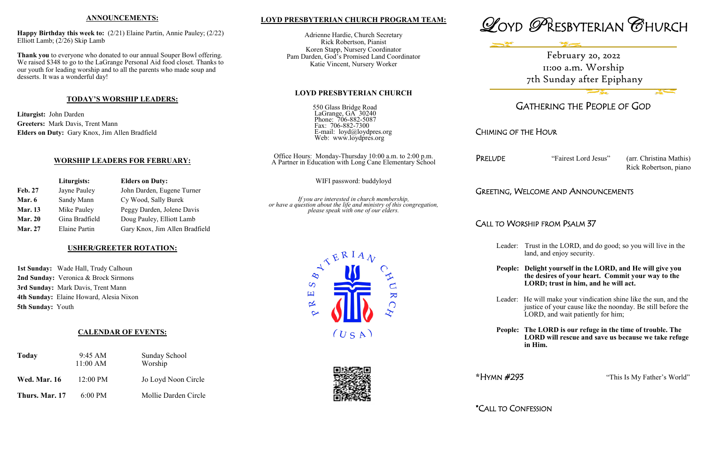# **LOYD PRESBYTERIAN CHURCH PROGRAM TEAM:**

Adrienne Hardie, Church Secretary Rick Robertson, Pianist Koren Stapp, Nursery Coordinator Pam Darden, God's Promised Land Coordinator Katie Vincent, Nursery Worker

#### **LOYD PRESBYTERIAN CHURCH**

| 550 Glass Bridge Road<br>LaGrange, GA 30240<br>Phone: 706-882-5087<br>Fax: 706-882-7300<br>E-mail: loyd@loydpres.org<br>Web: www.loydpres.org |
|-----------------------------------------------------------------------------------------------------------------------------------------------|
| Office Hours: Monday-Thursday 10:00 a.m. to 2:00 p.m.                                                                                         |

 $\overline{\mathbf{K}}$ 

 $\bigcap$ 

A Partner in Education with Long Cane Elementary School

WIFI password: buddyloyd

*If you are interested in church membership, or have a question about the life and ministry of this congregation, please speak with one of our elders.*

> $\overline{S}$ 国

 $\propto$ 

Leader: He will make your vindication shine like the sun, and the justice of your cause like the noonday. Be still before the LORD, and wait patiently for him;

 $(USA)$ 





# GATHERING THE PEOPLE OF GOD

CHIMING OF THE HOUR

PRELUDE "Fairest Lord Jesus" (arr. Christina Mathis) Rick Robertson, piano

GREETING, WELCOME AND ANNOUNCEMENTS

# CALL TO WORSHIP FROM PSALM 37

Leader: Trust in the LORD, and do good; so you will live in the land, and enjoy security.

**People: Delight yourself in the LORD, and He will give you the desires of your heart. Commit your way to the LORD; trust in him, and he will act.**

**People: The LORD is our refuge in the time of trouble. The LORD will rescue and save us because we take refuge in Him.**

**\***HYMN #293 "This Is My Father's World"

\*CALL TO CONFESSION

### **ANNOUNCEMENTS:**

**Happy Birthday this week to:** (2/21) Elaine Partin, Annie Pauley; (2/22) Elliott Lamb; (2/26) Skip Lamb

**Thank you** to everyone who donated to our annual Souper Bowl offering. We raised \$348 to go to the LaGrange Personal Aid food closet. Thanks to our youth for leading worship and to all the parents who made soup and desserts. It was a wonderful day!

## **TODAY'S WORSHIP LEADERS:**

**Liturgist:** John Darden **Greeters:** Mark Davis, Trent Mann **Elders on Duty:** Gary Knox, Jim Allen Bradfield

### **WORSHIP LEADERS FOR FEBRUARY:**

|                | Liturgists:          | <b>Elders on Duty:</b>         |
|----------------|----------------------|--------------------------------|
| <b>Feb. 27</b> | Jayne Pauley         | John Darden, Eugene Turner     |
| Mar. 6         | Sandy Mann           | Cy Wood, Sally Burek           |
| <b>Mar. 13</b> | Mike Pauley          | Peggy Darden, Jolene Davis     |
| <b>Mar. 20</b> | Gina Bradfield       | Doug Pauley, Elliott Lamb      |
| <b>Mar. 27</b> | <b>Elaine Partin</b> | Gary Knox, Jim Allen Bradfield |

### **USHER/GREETER ROTATION:**

**1st Sunday:** Wade Hall, Trudy Calhoun **2nd Sunday:** Veronica & Brock Sirmons **3rd Sunday:** Mark Davis, Trent Mann **4th Sunday:** Elaine Howard, Alesia Nixon **5th Sunday:** Youth

### **CALENDAR OF EVENTS:**

| Today               | $9:45 \text{ AM}$<br>11:00 AM | <b>Sunday School</b><br>Worship |
|---------------------|-------------------------------|---------------------------------|
| <b>Wed. Mar. 16</b> | $12:00 \text{ PM}$            | Jo Loyd Noon Circle             |
| Thurs. Mar. 17      | $6:00 \text{ PM}$             | Mollie Darden Circle            |

February 20, 2022 11:00 a.m. Worship 7th Sunday after Epiphany